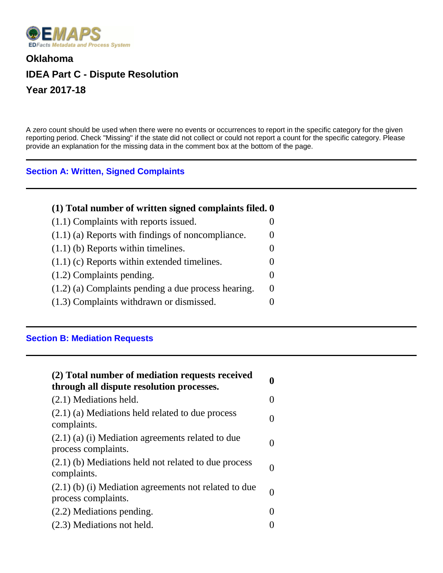

## **Oklahoma IDEA Part C - Dispute Resolution Year 2017-18**

A zero count should be used when there were no events or occurrences to report in the specific category for the given reporting period. Check "Missing" if the state did not collect or could not report a count for the specific category. Please provide an explanation for the missing data in the comment box at the bottom of the page.

## **Section A: Written, Signed Complaints**

| (1) Total number of written signed complaints filed. 0 |  |
|--------------------------------------------------------|--|
| $(1.1)$ Complaints with reports issued.                |  |
| $(1.1)$ (a) Reports with findings of noncompliance.    |  |
| $(1.1)$ (b) Reports within timelines.                  |  |
| $(1.1)$ (c) Reports within extended timelines.         |  |
| $(1.2)$ Complaints pending.                            |  |
| $(1.2)$ (a) Complaints pending a due process hearing.  |  |
| (1.3) Complaints withdrawn or dismissed.               |  |

## **Section B: Mediation Requests**

| (2) Total number of mediation requests received<br>through all dispute resolution processes. |  |
|----------------------------------------------------------------------------------------------|--|
| $(2.1)$ Mediations held.                                                                     |  |
| $(2.1)$ (a) Mediations held related to due process<br>complaints.                            |  |
| $(2.1)$ (a) (i) Mediation agreements related to due<br>process complaints.                   |  |
| $(2.1)$ (b) Mediations held not related to due process<br>complaints.                        |  |
| $(2.1)$ (b) (i) Mediation agreements not related to due<br>process complaints.               |  |
| $(2.2)$ Mediations pending.                                                                  |  |
| (2.3) Mediations not held.                                                                   |  |